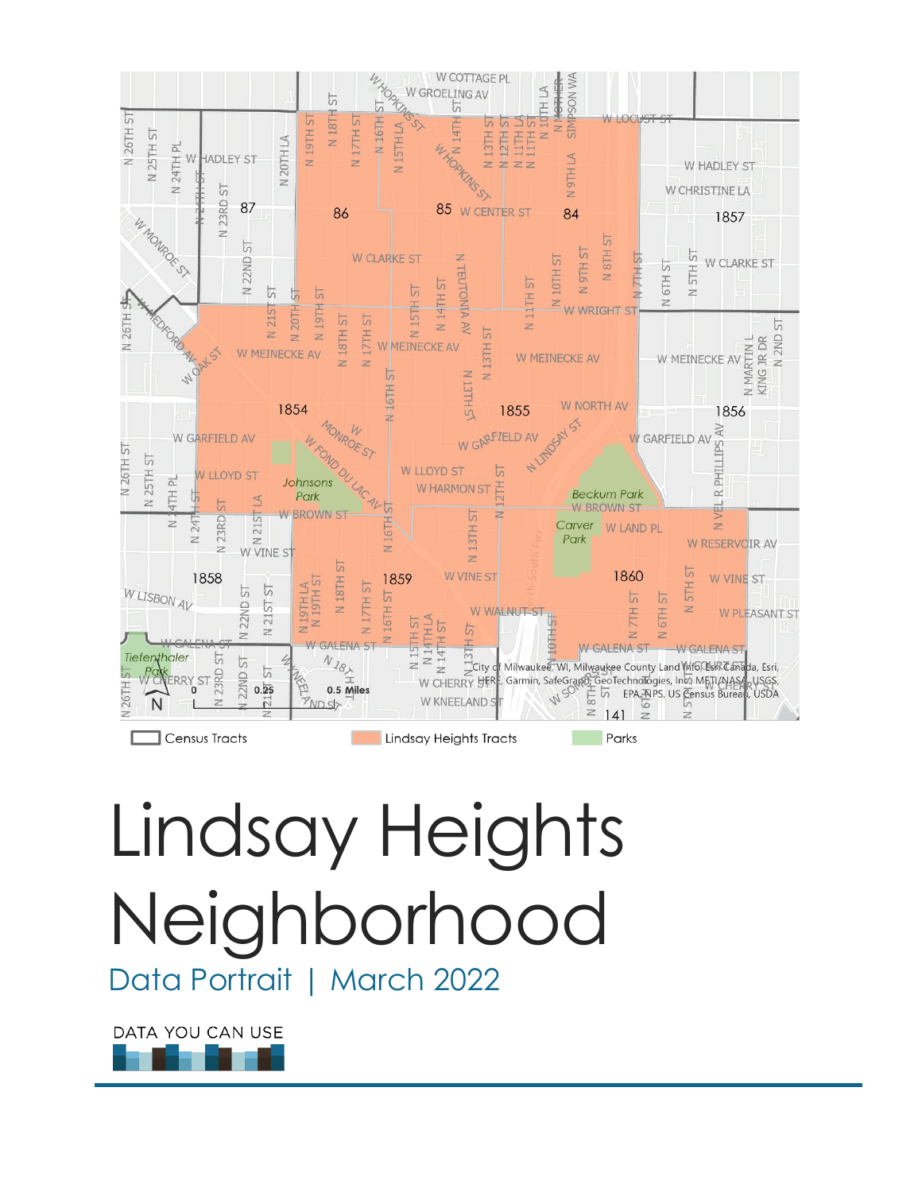

# Lindsay Heights Neighborhood

Data Portrait | March 2022

DATA YOU CAN USE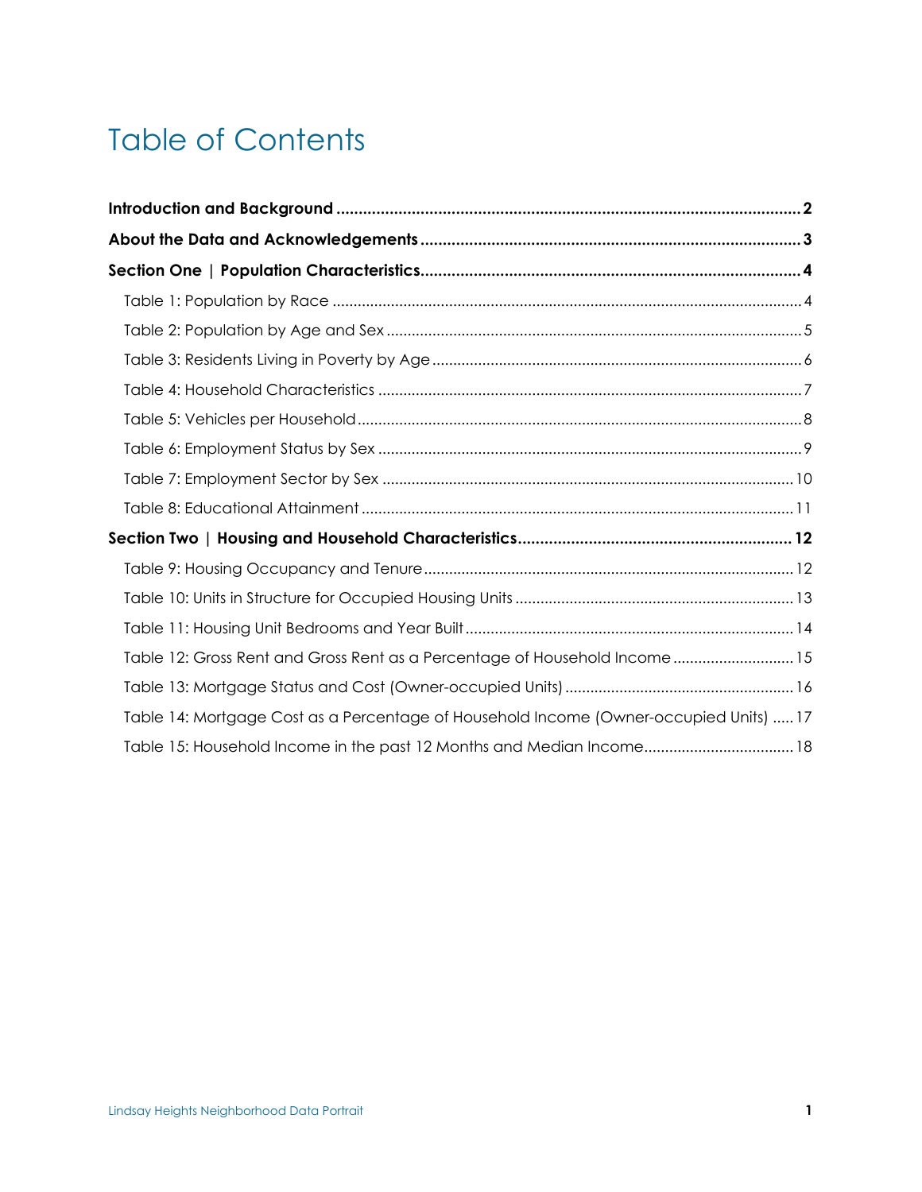# Table of Contents

| Section Two   Housing and Household Characteristics……………………………………………………… 12            |
|----------------------------------------------------------------------------------------|
|                                                                                        |
|                                                                                        |
|                                                                                        |
| Table 12: Gross Rent and Gross Rent as a Percentage of Household Income15              |
|                                                                                        |
| Table 14: Mortgage Cost as a Percentage of Household Income (Owner-occupied Units)  17 |
| Table 15: Household Income in the past 12 Months and Median Income 18                  |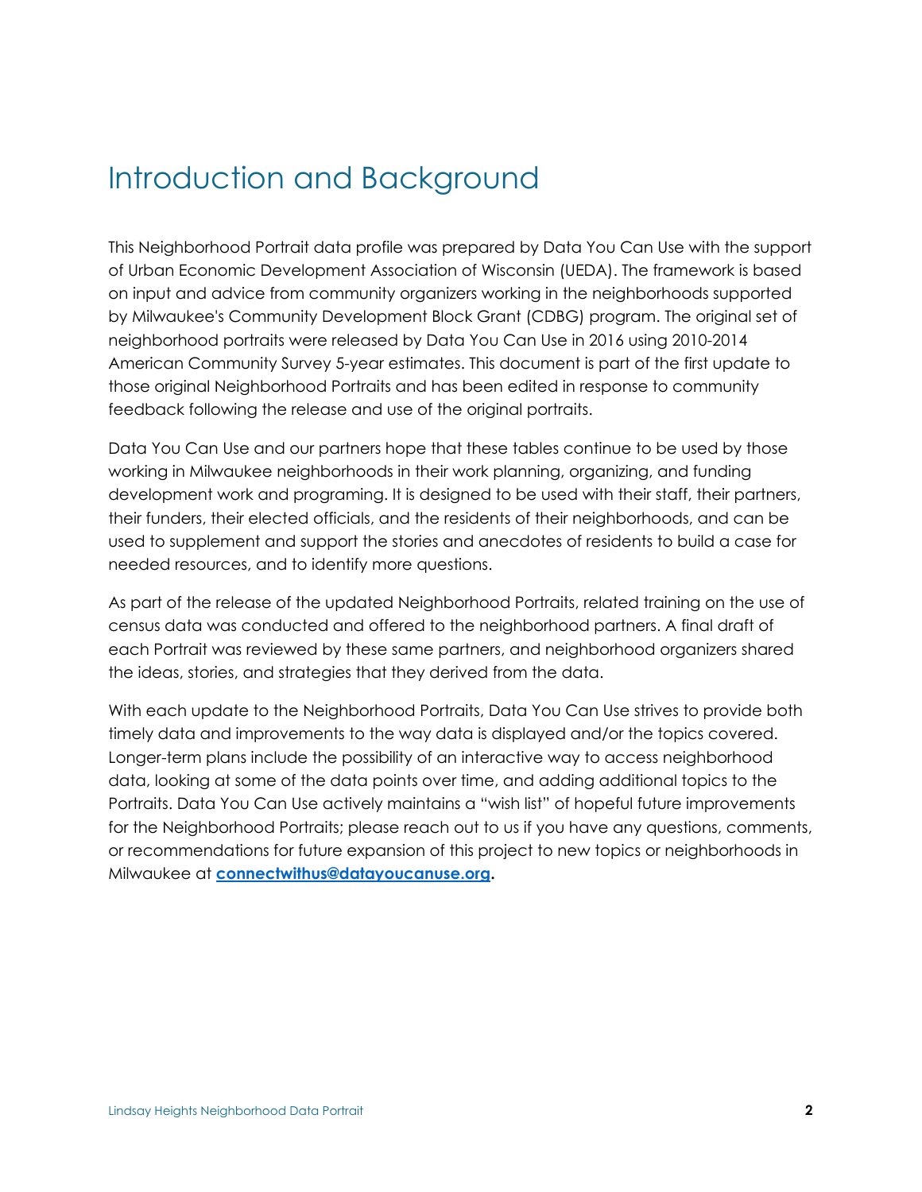## <span id="page-2-0"></span>Introduction and Background

This Neighborhood Portrait data profile was prepared by Data You Can Use with the support of Urban Economic Development Association of Wisconsin (UEDA). The framework is based on input and advice from community organizers working in the neighborhoods supported by Milwaukee's Community Development Block Grant (CDBG) program. The original set of neighborhood portraits were released by Data You Can Use in 2016 using 2010-2014 American Community Survey 5-year estimates. This document is part of the first update to those original Neighborhood Portraits and has been edited in response to community feedback following the release and use of the original portraits.

Data You Can Use and our partners hope that these tables continue to be used by those working in Milwaukee neighborhoods in their work planning, organizing, and funding development work and programing. It is designed to be used with their staff, their partners, their funders, their elected officials, and the residents of their neighborhoods, and can be used to supplement and support the stories and anecdotes of residents to build a case for needed resources, and to identify more questions.

As part of the release of the updated Neighborhood Portraits, related training on the use of census data was conducted and offered to the neighborhood partners. A final draft of each Portrait was reviewed by these same partners, and neighborhood organizers shared the ideas, stories, and strategies that they derived from the data.

With each update to the Neighborhood Portraits, Data You Can Use strives to provide both timely data and improvements to the way data is displayed and/or the topics covered. Longer-term plans include the possibility of an interactive way to access neighborhood data, looking at some of the data points over time, and adding additional topics to the Portraits. Data You Can Use actively maintains a "wish list" of hopeful future improvements for the Neighborhood Portraits; please reach out to us if you have any questions, comments, or recommendations for future expansion of this project to new topics or neighborhoods in Milwaukee at **[connectwithus@datayoucanuse.org.](mailto:connectwithus@datayoucanuse.org)**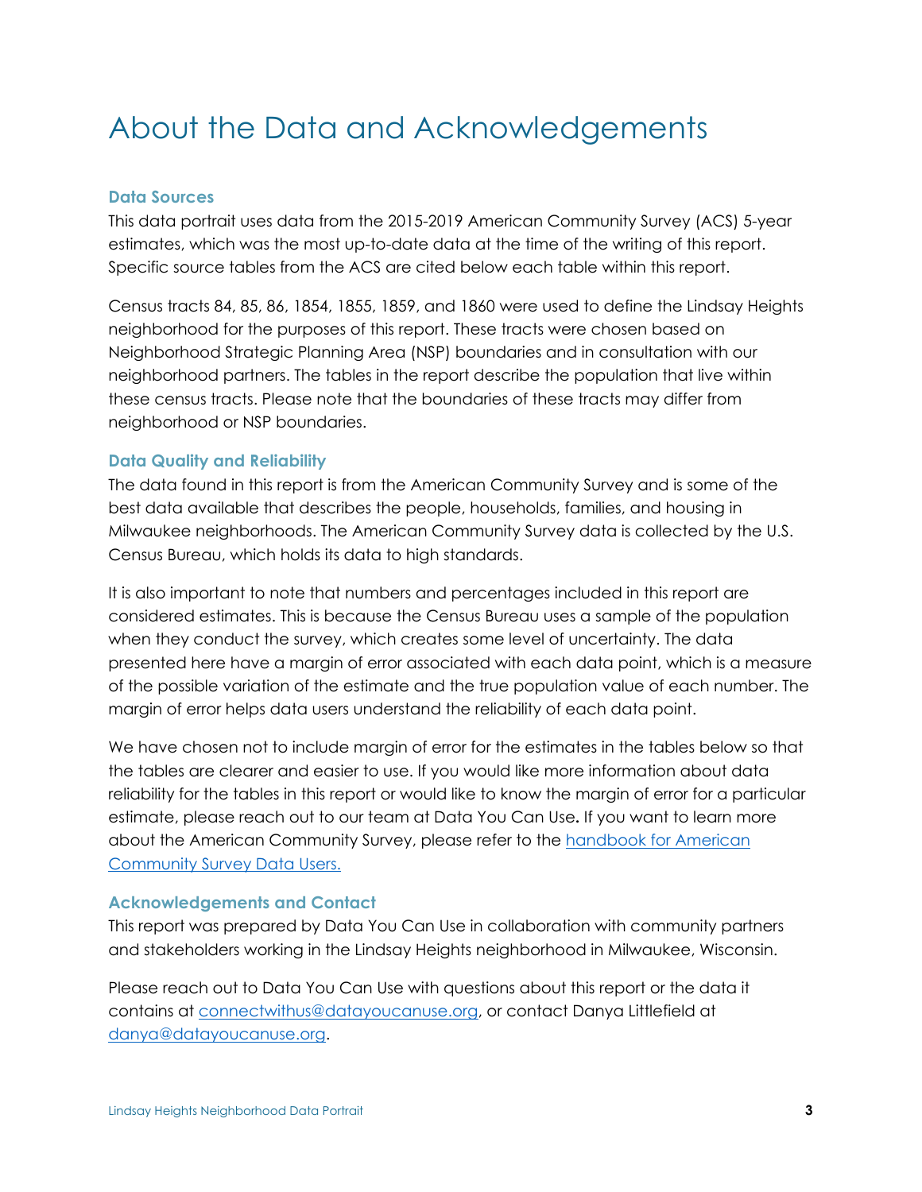# <span id="page-3-0"></span>About the Data and Acknowledgements

#### **Data Sources**

This data portrait uses data from the 2015-2019 American Community Survey (ACS) 5-year estimates, which was the most up-to-date data at the time of the writing of this report. Specific source tables from the ACS are cited below each table within this report.

Census tracts 84, 85, 86, 1854, 1855, 1859, and 1860 were used to define the Lindsay Heights neighborhood for the purposes of this report. These tracts were chosen based on Neighborhood Strategic Planning Area (NSP) boundaries and in consultation with our neighborhood partners. The tables in the report describe the population that live within these census tracts. Please note that the boundaries of these tracts may differ from neighborhood or NSP boundaries.

#### **Data Quality and Reliability**

The data found in this report is from the American Community Survey and is some of the best data available that describes the people, households, families, and housing in Milwaukee neighborhoods. The American Community Survey data is collected by the U.S. Census Bureau, which holds its data to high standards.

It is also important to note that numbers and percentages included in this report are considered estimates. This is because the Census Bureau uses a sample of the population when they conduct the survey, which creates some level of uncertainty. The data presented here have a margin of error associated with each data point, which is a measure of the possible variation of the estimate and the true population value of each number. The margin of error helps data users understand the reliability of each data point.

We have chosen not to include margin of error for the estimates in the tables below so that the tables are clearer and easier to use. If you would like more information about data reliability for the tables in this report or would like to know the margin of error for a particular estimate, please reach out to our team at Data You Can Use**.** If you want to learn more about the American Community Survey, please refer to the [handbook for American](https://www.census.gov/programs-surveys/acs/library/handbooks/general.html)  [Community Survey Data Users.](https://www.census.gov/programs-surveys/acs/library/handbooks/general.html) 

#### **Acknowledgements and Contact**

This report was prepared by Data You Can Use in collaboration with community partners and stakeholders working in the Lindsay Heights neighborhood in Milwaukee, Wisconsin.

Please reach out to Data You Can Use with questions about this report or the data it contains at [connectwithus@datayoucanuse.org,](mailto:connectwithus@datayoucanuse.org) or contact Danya Littlefield at [danya@datayoucanuse.org.](mailto:danya@datayoucanuse.org)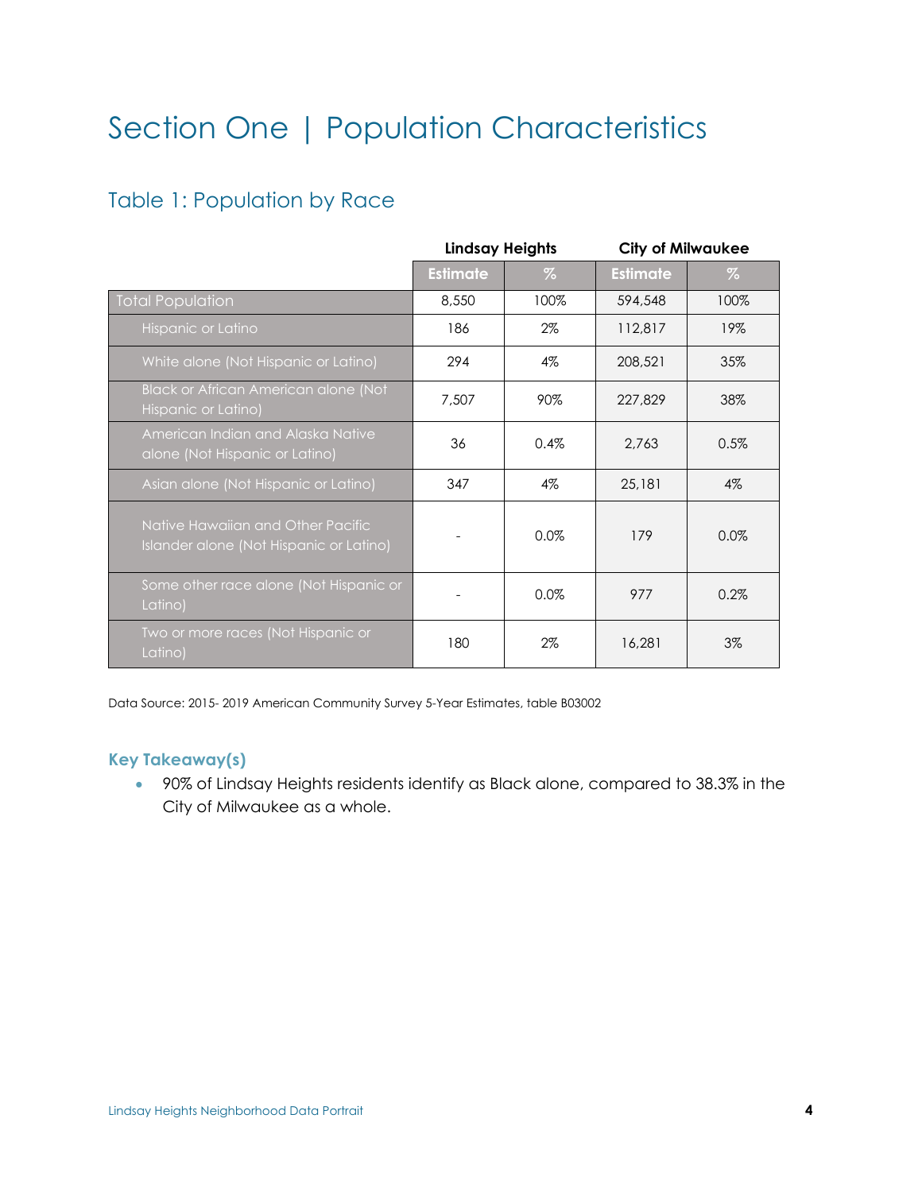# <span id="page-4-0"></span>Section One | Population Characteristics

## <span id="page-4-1"></span>Table 1: Population by Race

|                                                                              | <b>Lindsay Heights</b> |       | <b>City of Milwaukee</b> |       |  |
|------------------------------------------------------------------------------|------------------------|-------|--------------------------|-------|--|
|                                                                              | <b>Estimate</b>        | %     | <b>Estimate</b>          | %     |  |
| Total Population                                                             | 8,550                  | 100%  | 594,548                  | 100%  |  |
| Hispanic or Latino                                                           | 186                    | $2\%$ | 112,817                  | 19%   |  |
| White alone (Not Hispanic or Latino)                                         | 294                    | $4\%$ | 208,521                  | 35%   |  |
| Black or African American alone (Not<br>Hispanic or Latino)                  | 7.507                  | 90%   | 227,829                  | 38%   |  |
| American Indian and Alaska Native<br>alone (Not Hispanic or Latino)          | 36                     | 0.4%  | 2,763                    | 0.5%  |  |
| Asian alone (Not Hispanic or Latino)                                         | 347                    | $4\%$ | 25,181                   | $4\%$ |  |
| Native Hawaiian and Other Pacific<br>Islander alone (Not Hispanic or Latino) |                        | 0.0%  | 179                      | 0.0%  |  |
| Some other race alone (Not Hispanic or<br>Latino)                            |                        | 0.0%  | 977                      | 0.2%  |  |
| Two or more races (Not Hispanic or<br>Latino)                                | 180                    | $2\%$ | 16,281                   | $3\%$ |  |

Data Source: 2015- 2019 American Community Survey 5-Year Estimates, table B03002

#### **Key Takeaway(s)**

• 90% of Lindsay Heights residents identify as Black alone, compared to 38.3% in the City of Milwaukee as a whole.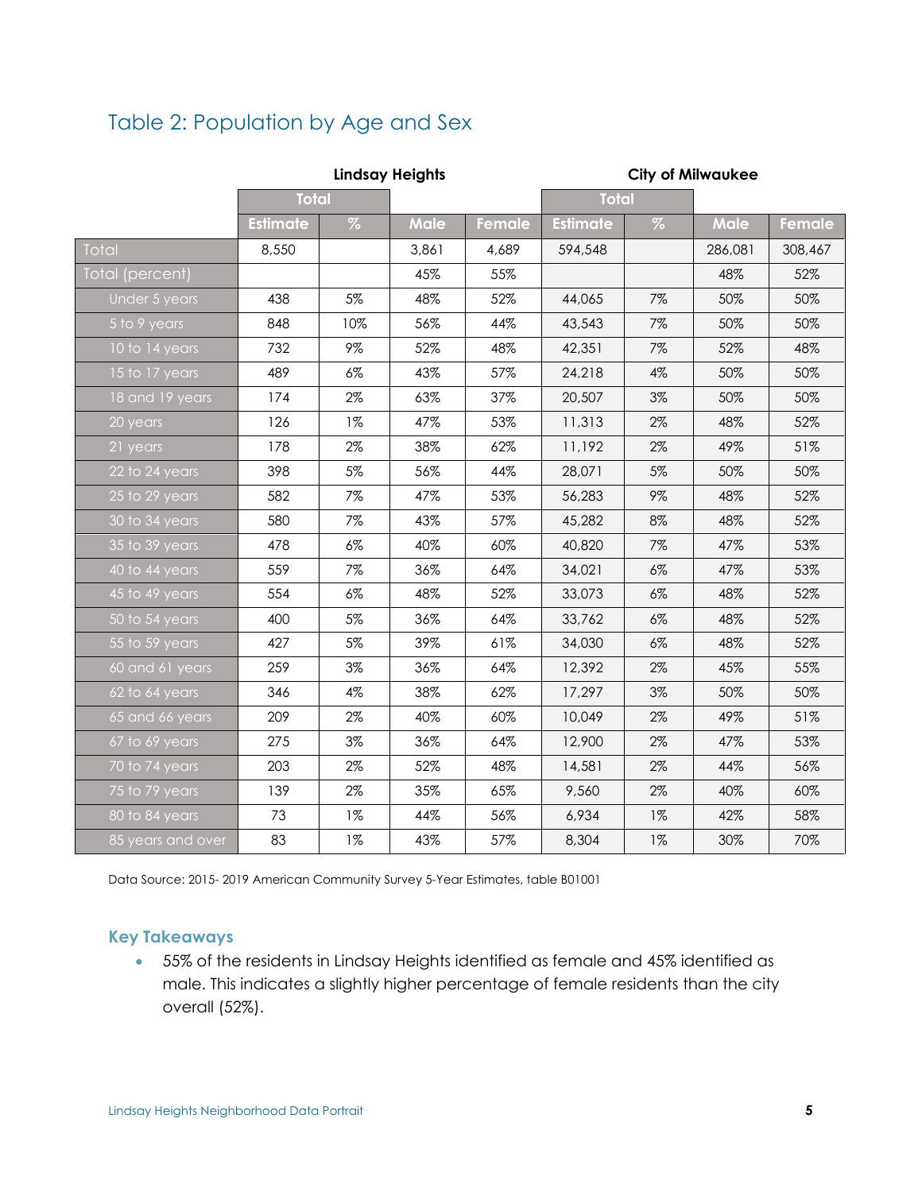## <span id="page-5-0"></span>Table 2: Population by Age and Sex

|                    |                 |       | <b>Lindsay Heights</b> |               |                 |       | <b>City of Milwaukee</b> |               |
|--------------------|-----------------|-------|------------------------|---------------|-----------------|-------|--------------------------|---------------|
|                    | <b>Total</b>    |       |                        |               | <b>Total</b>    |       |                          |               |
|                    | <b>Estimate</b> | $\%$  | <b>Male</b>            | <b>Female</b> | <b>Estimate</b> | $\%$  | <b>Male</b>              | <b>Female</b> |
| Total              | 8,550           |       | 3,861                  | 4,689         | 594,548         |       | 286,081                  | 308,467       |
| Total (percent)    |                 |       | 45%                    | 55%           |                 |       | 48%                      | 52%           |
| Under 5 years      | 438             | 5%    | 48%                    | 52%           | 44,065          | 7%    | 50%                      | 50%           |
| 5 to 9 years       | 848             | 10%   | 56%                    | 44%           | 43,543          | 7%    | 50%                      | 50%           |
| 10 to 14 years     | 732             | 9%    | 52%                    | 48%           | 42,351          | 7%    | 52%                      | 48%           |
| 15 to 17 years     | 489             | $6\%$ | 43%                    | 57%           | 24,218          | 4%    | 50%                      | 50%           |
| 18 and 19 years    | 174             | $2\%$ | 63%                    | 37%           | 20,507          | 3%    | 50%                      | 50%           |
| 20 years           | 126             | $1\%$ | 47%                    | 53%           | 11,313          | 2%    | 48%                      | 52%           |
| 21 years           | 178             | 2%    | 38%                    | 62%           | 11,192          | 2%    | 49%                      | 51%           |
| 22 to 24 years     | 398             | $5\%$ | 56%                    | 44%           | 28,071          | 5%    | 50%                      | 50%           |
| 25 to 29 years     | 582             | 7%    | 47%                    | 53%           | 56,283          | 9%    | 48%                      | 52%           |
| 30 to 34 years     | 580             | 7%    | 43%                    | 57%           | 45,282          | 8%    | 48%                      | 52%           |
| 35 to 39 years     | 478             | $6\%$ | 40%                    | 60%           | 40,820          | 7%    | 47%                      | 53%           |
| 40 to 44 years     | 559             | 7%    | 36%                    | 64%           | 34,021          | $6\%$ | 47%                      | 53%           |
| $45$ to $49$ years | 554             | $6\%$ | 48%                    | 52%           | 33,073          | $6\%$ | 48%                      | 52%           |
| $50$ to $54$ years | 400             | 5%    | 36%                    | 64%           | 33,762          | $6\%$ | 48%                      | 52%           |
| 55 to 59 years     | 427             | $5\%$ | 39%                    | 61%           | 34,030          | $6\%$ | 48%                      | 52%           |
| 60 and 61 years    | 259             | $3\%$ | 36%                    | 64%           | 12,392          | 2%    | 45%                      | 55%           |
| 62 to 64 years     | 346             | 4%    | 38%                    | 62%           | 17,297          | 3%    | 50%                      | 50%           |
| 65 and 66 years    | 209             | $2\%$ | 40%                    | 60%           | 10,049          | 2%    | 49%                      | 51%           |
| 67 to 69 years     | 275             | $3\%$ | 36%                    | 64%           | 12,900          | 2%    | 47%                      | 53%           |
| 70 to 74 years     | 203             | 2%    | 52%                    | 48%           | 14,581          | 2%    | 44%                      | 56%           |
| 75 to 79 years     | 139             | $2\%$ | 35%                    | 65%           | 9,560           | 2%    | 40%                      | 60%           |
| 80 to 84 years     | 73              | $1\%$ | 44%                    | 56%           | 6,934           | $1\%$ | 42%                      | 58%           |
| 85 years and over  | 83              | $1\%$ | 43%                    | 57%           | 8,304           | $1\%$ | 30%                      | 70%           |

Data Source: 2015- 2019 American Community Survey 5-Year Estimates, table B01001

## **Key Takeaways**

• 55% of the residents in Lindsay Heights identified as female and 45% identified as male. This indicates a slightly higher percentage of female residents than the city overall (52%).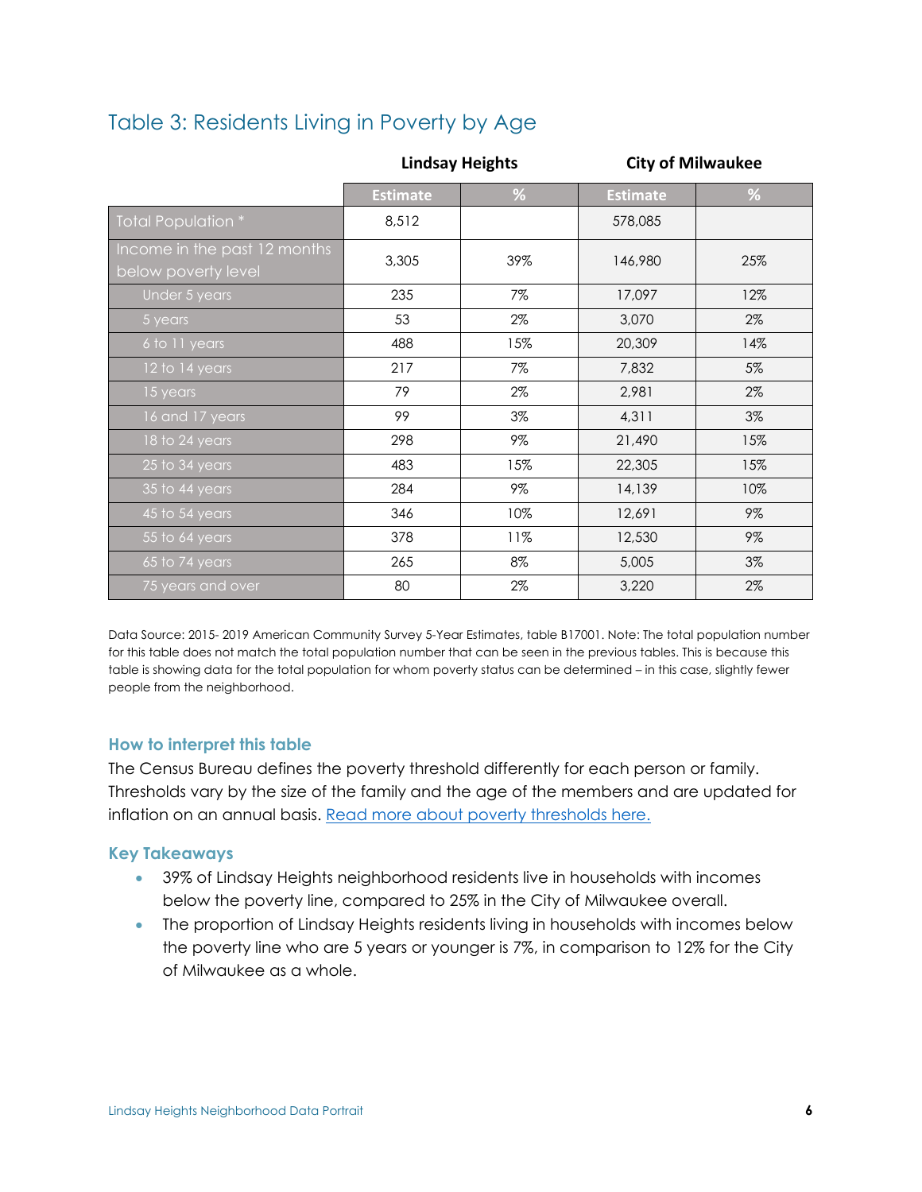## <span id="page-6-0"></span>Table 3: Residents Living in Poverty by Age

|                                                     | <b>Lindsay Heights</b> |       | <b>City of Milwaukee</b> |       |
|-----------------------------------------------------|------------------------|-------|--------------------------|-------|
|                                                     | <b>Estimate</b>        | %     | <b>Estimate</b>          | %     |
| Total Population *                                  | 8,512                  |       | 578,085                  |       |
| Income in the past 12 months<br>below poverty level | 3,305                  | 39%   | 146,980                  | 25%   |
| Under 5 years                                       | 235                    | 7%    | 17,097                   | 12%   |
| 5 years                                             | 53                     | $2\%$ | 3,070                    | $2\%$ |
| 6 to 11 years                                       | 488                    | 15%   | 20,309                   | 14%   |
| 12 to 14 years                                      | 217                    | 7%    | 7,832                    | 5%    |
| 15 years                                            | 79                     | $2\%$ | 2,981                    | $2\%$ |
| 16 and 17 years                                     | 99                     | 3%    | 4,311                    | $3\%$ |
| 18 to 24 years                                      | 298                    | 9%    | 21,490                   | 15%   |
| 25 to 34 years                                      | 483                    | 15%   | 22,305                   | 15%   |
| 35 to 44 years                                      | 284                    | 9%    | 14,139                   | 10%   |
| 45 to 54 years                                      | 346                    | 10%   | 12,691                   | $9\%$ |
| 55 to 64 years                                      | 378                    | 11%   | 12,530                   | $9\%$ |
| 65 to 74 years                                      | 265                    | 8%    | 5,005                    | 3%    |
| 75 years and over                                   | 80                     | 2%    | 3,220                    | 2%    |

Data Source: 2015- 2019 American Community Survey 5-Year Estimates, table B17001. Note: The total population number for this table does not match the total population number that can be seen in the previous tables. This is because this table is showing data for the total population for whom poverty status can be determined – in this case, slightly fewer people from the neighborhood.

#### **How to interpret this table**

The Census Bureau defines the poverty threshold differently for each person or family. Thresholds vary by the size of the family and the age of the members and are updated for inflation on an annual basis. [Read more about poverty thresholds here.](https://www.census.gov/topics/income-poverty/poverty/guidance/poverty-measures.html)

- 39% of Lindsay Heights neighborhood residents live in households with incomes below the poverty line, compared to 25% in the City of Milwaukee overall.
- <span id="page-6-1"></span>• The proportion of Lindsay Heights residents living in households with incomes below the poverty line who are 5 years or younger is 7%, in comparison to 12% for the City of Milwaukee as a whole.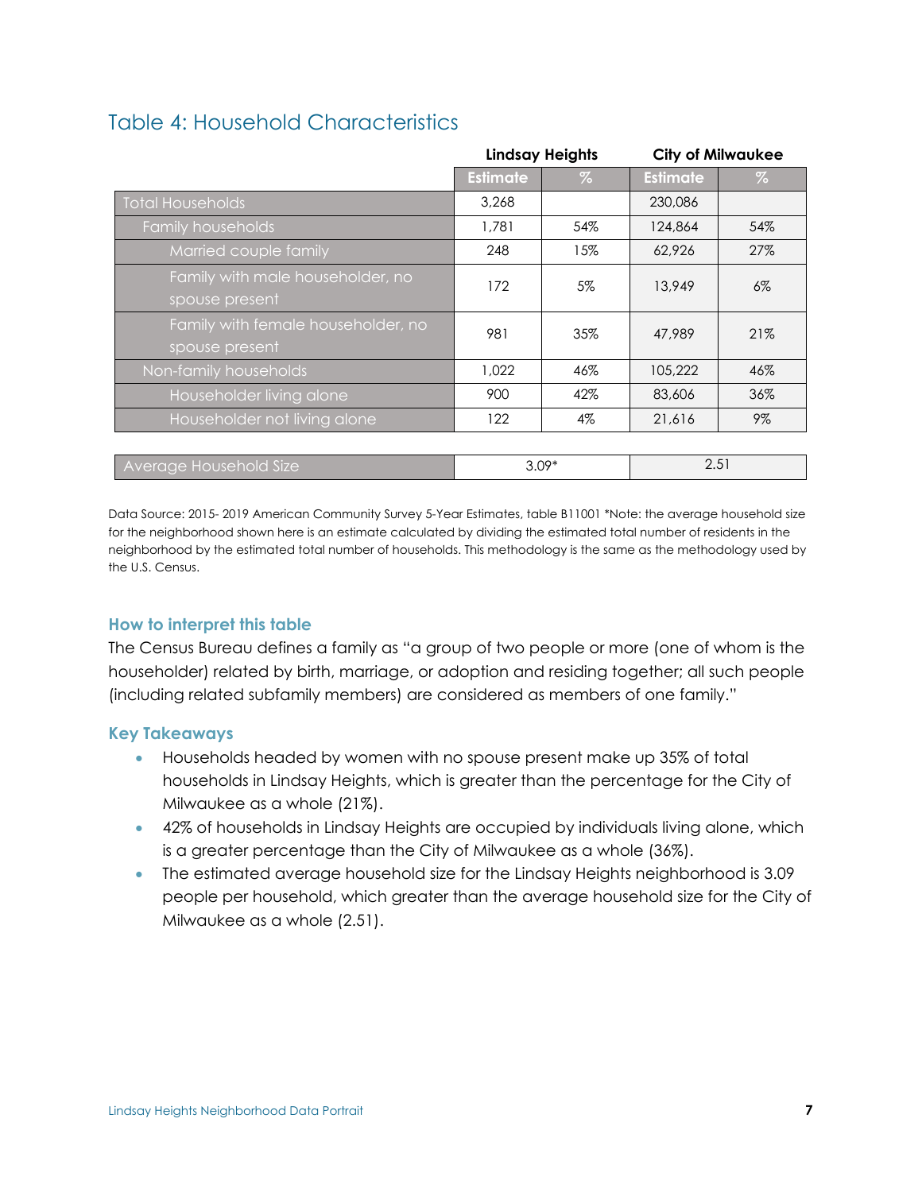## Table 4: Household Characteristics

|                                                      | Lindsay Heights |         |                 | <b>City of Milwaukee</b> |
|------------------------------------------------------|-----------------|---------|-----------------|--------------------------|
|                                                      | <b>Estimate</b> | $\%$    | <b>Estimate</b> | $\%$                     |
| <b>Total Households</b>                              | 3,268           |         | 230,086         |                          |
| Family households                                    | 1,781           | 54%     | 124,864         | 54%                      |
| Married couple family                                | 248             | 15%     | 62,926          | 27%                      |
| Family with male householder, no<br>spouse present   | 172             | 5%      | 13,949          | $6\%$                    |
| Family with female householder, no<br>spouse present | 981             | 35%     | 47.989          | 21%                      |
| Non-family households                                | 1,022           | 46%     | 105,222         | 46%                      |
| <b>Householder living alone</b>                      | 900             | 42%     | 83,606          | 36%                      |
| Householder not living alone                         | 122             | 4%      | 21,616          | 9%                       |
|                                                      |                 |         |                 |                          |
| <b>Average Household Size</b>                        |                 | $3.09*$ | 2.51            |                          |

Data Source: 2015- 2019 American Community Survey 5-Year Estimates, table B11001 \*Note: the average household size for the neighborhood shown here is an estimate calculated by dividing the estimated total number of residents in the neighborhood by the estimated total number of households. This methodology is the same as the methodology used by the U.S. Census.

## **How to interpret this table**

The Census Bureau defines a family as "a group of two people or more (one of whom is the householder) related by birth, marriage, or adoption and residing together; all such people (including related subfamily members) are considered as members of one family."

- Households headed by women with no spouse present make up 35% of total households in Lindsay Heights, which is greater than the percentage for the City of Milwaukee as a whole (21%).
- 42% of households in Lindsay Heights are occupied by individuals living alone, which is a greater percentage than the City of Milwaukee as a whole (36%).
- The estimated average household size for the Lindsay Heights neighborhood is 3.09 people per household, which greater than the average household size for the City of Milwaukee as a whole (2.51).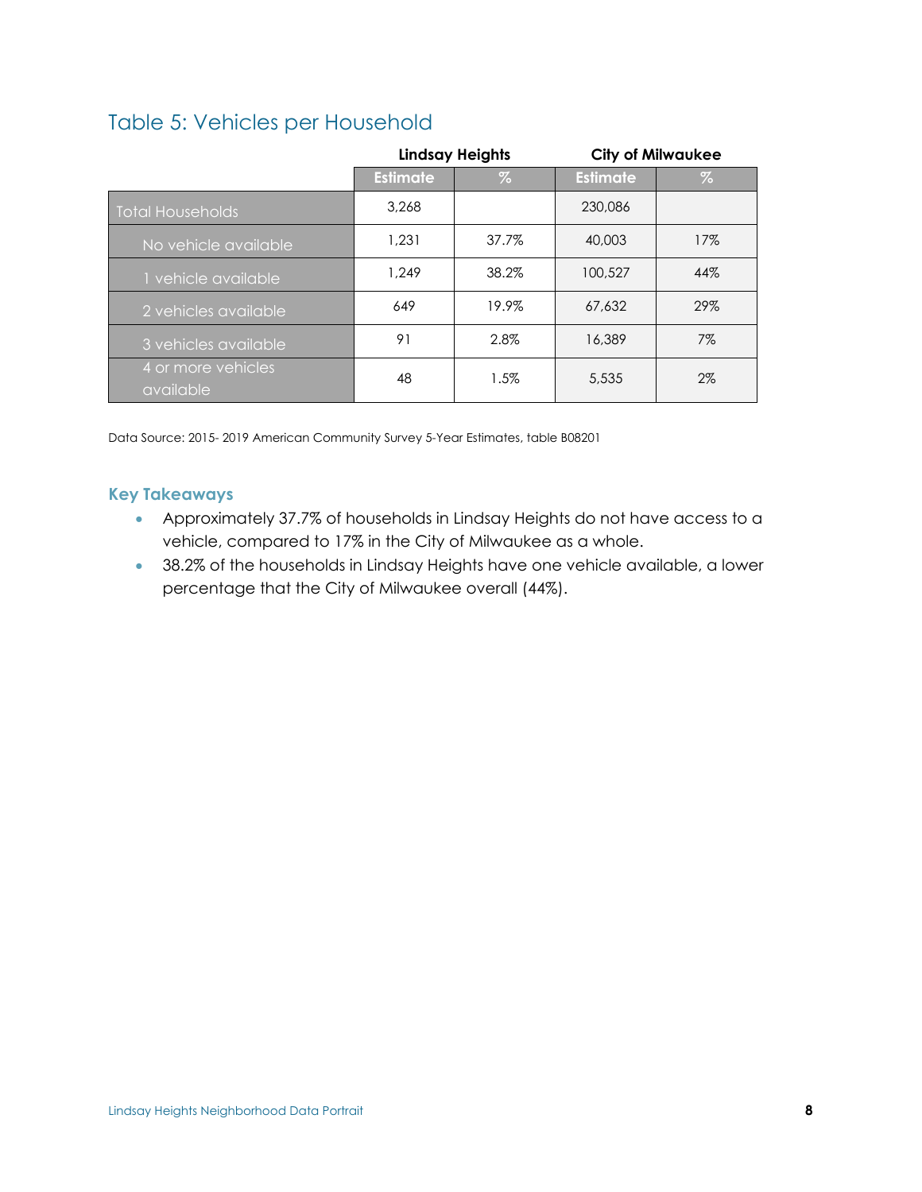## <span id="page-8-0"></span>Table 5: Vehicles per Household

|                                 |                 | <b>Lindsay Heights</b> |                 | <b>City of Milwaukee</b> |
|---------------------------------|-----------------|------------------------|-----------------|--------------------------|
|                                 | <b>Estimate</b> | %                      | <b>Estimate</b> | $\%$                     |
| <b>Total Households</b>         | 3,268           |                        | 230,086         |                          |
| No vehicle available            | 1.231           | 37.7%                  | 40,003          | 17%                      |
| 1 vehicle available             | 1.249           | 38.2%                  | 100,527         | 44%                      |
| 2 vehicles available            | 649             | 19.9%                  | 67,632          | 29%                      |
| 3 vehicles available            | 91              | 2.8%                   | 16,389          | $7\%$                    |
| 4 or more vehicles<br>available | 48              | $1.5\%$                | 5,535           | 2%                       |

Data Source: 2015- 2019 American Community Survey 5-Year Estimates, table B08201

- Approximately 37.7% of households in Lindsay Heights do not have access to a vehicle, compared to 17% in the City of Milwaukee as a whole.
- 38.2% of the households in Lindsay Heights have one vehicle available, a lower percentage that the City of Milwaukee overall (44%).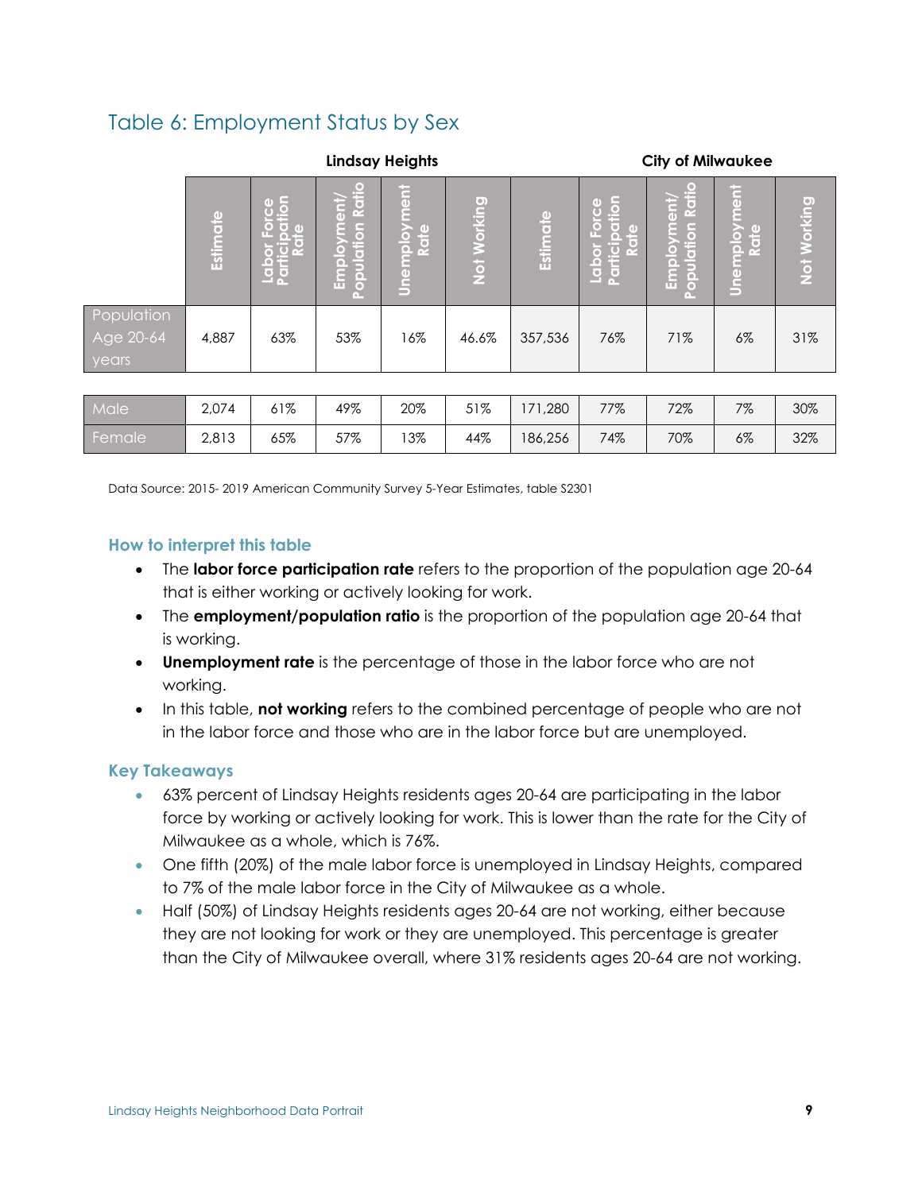## <span id="page-9-0"></span>Table 6: Employment Status by Sex

|                                  | <b>Lindsay Heights</b> |                                                                               |                                              |                                                |                    |          |                                                                          | <b>City of Milwaukee</b>                         |                                   |             |
|----------------------------------|------------------------|-------------------------------------------------------------------------------|----------------------------------------------|------------------------------------------------|--------------------|----------|--------------------------------------------------------------------------|--------------------------------------------------|-----------------------------------|-------------|
|                                  | Estimate               | rce<br><del>l</del> ion<br>$\circ$<br>ħ<br>۱ŏ<br>Labor<br>Partici<br><b>P</b> | ľ o<br>Ratio<br>ent)<br>Population<br>Employ | <b>Ti</b><br>ΙO<br>nplo<br>Rate<br><u>Unem</u> | <b>Not Working</b> | Estimate | Ιā<br>Ю<br>ľ o<br>۰<br>G<br>$\overline{\mathbf{c}}$<br>Labor<br>Particip | Ratio<br>trae<br>Population<br>$\delta$<br>Emple | $ \vec{5} $<br>Unemployme<br>Rate | Not Working |
| Population<br>Age 20-64<br>years | 4,887                  | 63%                                                                           | 53%                                          | 16%                                            | 46.6%              | 357,536  | 76%                                                                      | 71%                                              | 6%                                | 31%         |
|                                  |                        |                                                                               |                                              |                                                |                    |          |                                                                          |                                                  |                                   |             |
| Male                             | 2,074                  | 61%                                                                           | 49%                                          | 20%                                            | 51%                | 171,280  | 77%                                                                      | 72%                                              | 7%                                | 30%         |
| Female                           | 2,813                  | 65%                                                                           | 57%                                          | 13%                                            | 44%                | 186,256  | 74%                                                                      | 70%                                              | $6\%$                             | 32%         |

Data Source: 2015- 2019 American Community Survey 5-Year Estimates, table S2301

#### **How to interpret this table**

- The **labor force participation rate** refers to the proportion of the population age 20-64 that is either working or actively looking for work.
- The **employment/population ratio** is the proportion of the population age 20-64 that is working.
- **Unemployment rate** is the percentage of those in the labor force who are not working.
- In this table, **not working** refers to the combined percentage of people who are not in the labor force and those who are in the labor force but are unemployed.

- 63% percent of Lindsay Heights residents ages 20-64 are participating in the labor force by working or actively looking for work. This is lower than the rate for the City of Milwaukee as a whole, which is 76%.
- One fifth (20%) of the male labor force is unemployed in Lindsay Heights, compared to 7% of the male labor force in the City of Milwaukee as a whole.
- Half (50%) of Lindsay Heights residents ages 20-64 are not working, either because they are not looking for work or they are unemployed. This percentage is greater than the City of Milwaukee overall, where 31% residents ages 20-64 are not working.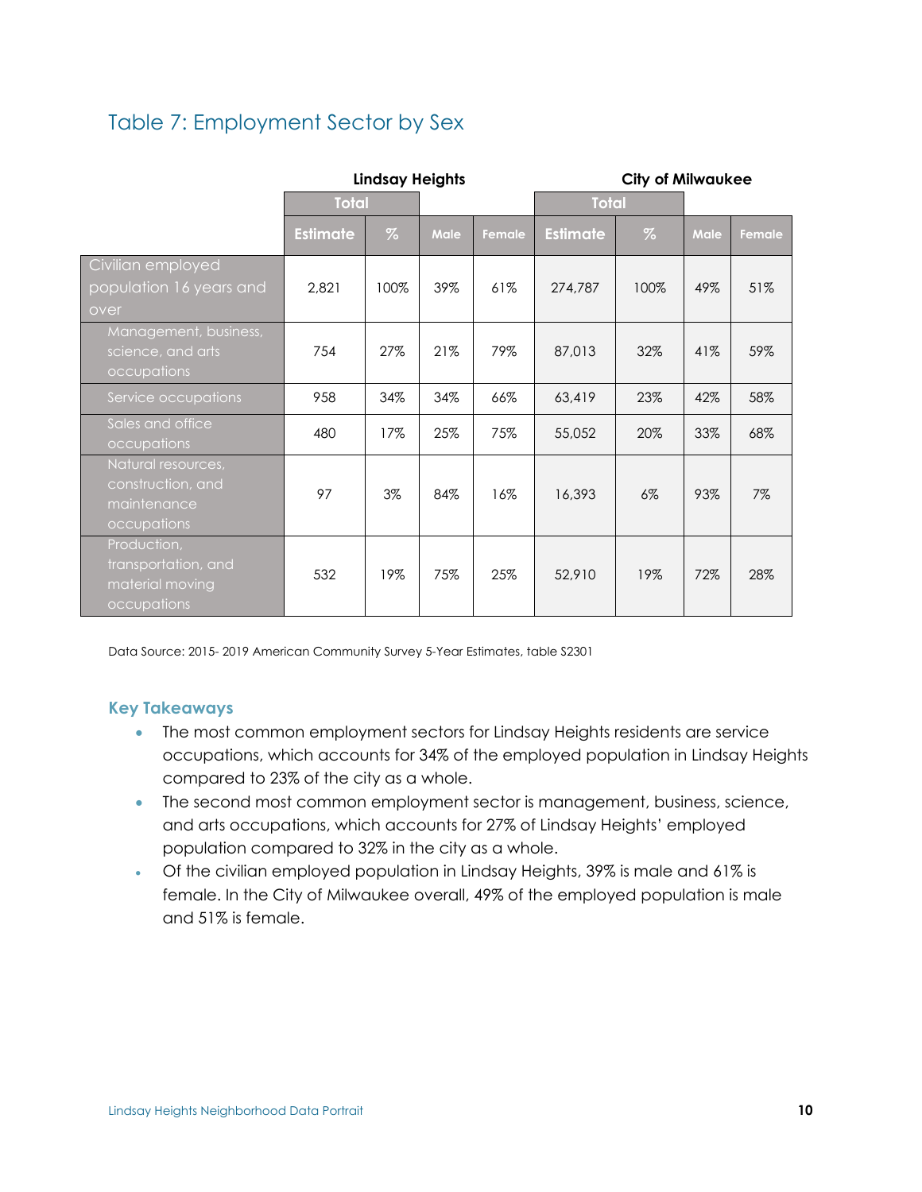## <span id="page-10-0"></span>Table 7: Employment Sector by Sex

|                                                                       | <b>Lindsay Heights</b> |       |             |        | <b>City of Milwaukee</b> |       |      |        |
|-----------------------------------------------------------------------|------------------------|-------|-------------|--------|--------------------------|-------|------|--------|
|                                                                       | <b>Total</b>           |       |             |        | <b>Total</b>             |       |      |        |
|                                                                       | <b>Estimate</b>        | $\%$  | <b>Male</b> | Female | <b>Estimate</b>          | $\%$  | Male | Female |
| Civilian employed<br>population 16 years and<br>over                  | 2,821                  | 100%  | 39%         | 61%    | 274,787                  | 100%  | 49%  | 51%    |
| Management, business,<br>science, and arts<br>occupations             | 754                    | 27%   | 21%         | 79%    | 87,013                   | 32%   | 41%  | 59%    |
| Service occupations                                                   | 958                    | 34%   | 34%         | 66%    | 63,419                   | 23%   | 42%  | 58%    |
| Sales and office<br>occupations                                       | 480                    | 17%   | 25%         | 75%    | 55,052                   | 20%   | 33%  | 68%    |
| Natural resources,<br>construction, and<br>maintenance<br>occupations | 97                     | $3\%$ | 84%         | 16%    | 16,393                   | $6\%$ | 93%  | $7\%$  |
| Production,<br>transportation, and<br>material moving<br>occupations  | 532                    | 19%   | 75%         | 25%    | 52,910                   | 19%   | 72%  | 28%    |

Data Source: 2015- 2019 American Community Survey 5-Year Estimates, table S2301

- The most common employment sectors for Lindsay Heights residents are service occupations, which accounts for 34% of the employed population in Lindsay Heights compared to 23% of the city as a whole.
- The second most common employment sector is management, business, science, and arts occupations, which accounts for 27% of Lindsay Heights' employed population compared to 32% in the city as a whole.
- Of the civilian employed population in Lindsay Heights, 39% is male and 61% is female. In the City of Milwaukee overall, 49% of the employed population is male and 51% is female.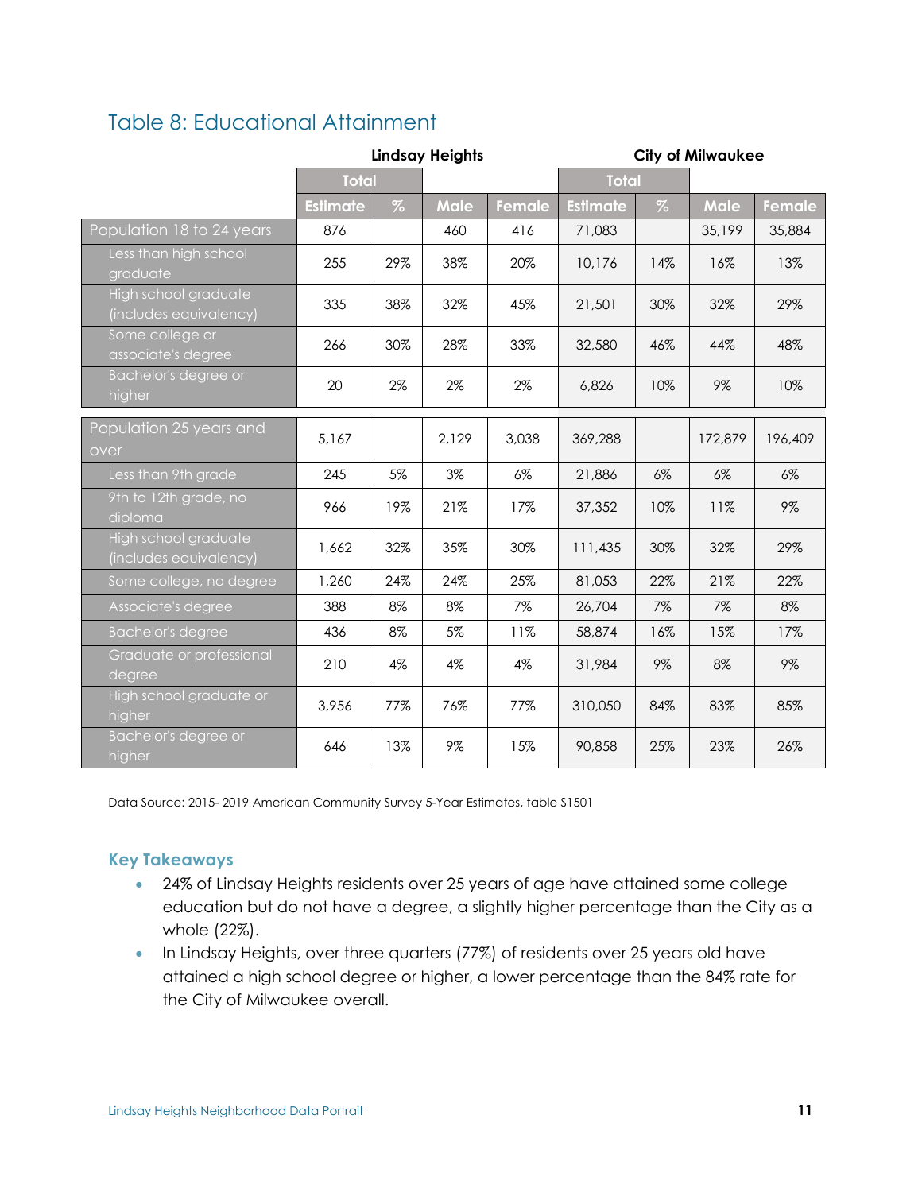## <span id="page-11-0"></span>Table 8: Educational Attainment

|                                                | <b>Lindsay Heights</b> |      |             |        | <b>City of Milwaukee</b> |       |             |         |
|------------------------------------------------|------------------------|------|-------------|--------|--------------------------|-------|-------------|---------|
|                                                | <b>Total</b>           |      |             |        | <b>Total</b>             |       |             |         |
|                                                | <b>Estimate</b>        | $\%$ | <b>Male</b> | Female | <b>Estimate</b>          | $\%$  | <b>Male</b> | Female  |
| Population 18 to 24 years                      | 876                    |      | 460         | 416    | 71,083                   |       | 35,199      | 35,884  |
| Less than high school<br>graduate              | 255                    | 29%  | 38%         | 20%    | 10,176                   | 14%   | 16%         | 13%     |
| High school graduate<br>(includes equivalency) | 335                    | 38%  | 32%         | 45%    | 21,501                   | 30%   | 32%         | 29%     |
| Some college or<br>associate's degree          | 266                    | 30%  | 28%         | 33%    | 32,580                   | 46%   | 44%         | 48%     |
| Bachelor's degree or<br>higher                 | 20                     | 2%   | 2%          | 2%     | 6,826                    | 10%   | 9%          | 10%     |
| Population 25 years and<br>over                | 5,167                  |      | 2,129       | 3,038  | 369,288                  |       | 172,879     | 196,409 |
| Less than 9th grade                            | 245                    | 5%   | 3%          | $6\%$  | 21,886                   | $6\%$ | $6\%$       | $6\%$   |
| 9th to 12th grade, no<br>diploma               | 966                    | 19%  | 21%         | 17%    | 37,352                   | 10%   | 11%         | $9\%$   |
| High school graduate<br>(includes equivalency) | 1,662                  | 32%  | 35%         | 30%    | 111,435                  | 30%   | 32%         | 29%     |
| Some college, no degree                        | 1,260                  | 24%  | 24%         | 25%    | 81,053                   | 22%   | 21%         | 22%     |
| Associate's degree                             | 388                    | 8%   | 8%          | 7%     | 26,704                   | 7%    | 7%          | 8%      |
| <b>Bachelor's degree</b>                       | 436                    | 8%   | 5%          | 11%    | 58,874                   | 16%   | 15%         | 17%     |
| Graduate or professional<br>degree             | 210                    | 4%   | 4%          | 4%     | 31,984                   | 9%    | 8%          | 9%      |
| High school graduate or<br>higher              | 3,956                  | 77%  | 76%         | 77%    | 310,050                  | 84%   | 83%         | 85%     |
| Bachelor's degree or<br>higher                 | 646                    | 13%  | 9%          | 15%    | 90,858                   | 25%   | 23%         | 26%     |

Data Source: 2015- 2019 American Community Survey 5-Year Estimates, table S1501

- 24% of Lindsay Heights residents over 25 years of age have attained some college education but do not have a degree, a slightly higher percentage than the City as a whole (22%).
- In Lindsay Heights, over three quarters (77%) of residents over 25 years old have attained a high school degree or higher, a lower percentage than the 84% rate for the City of Milwaukee overall.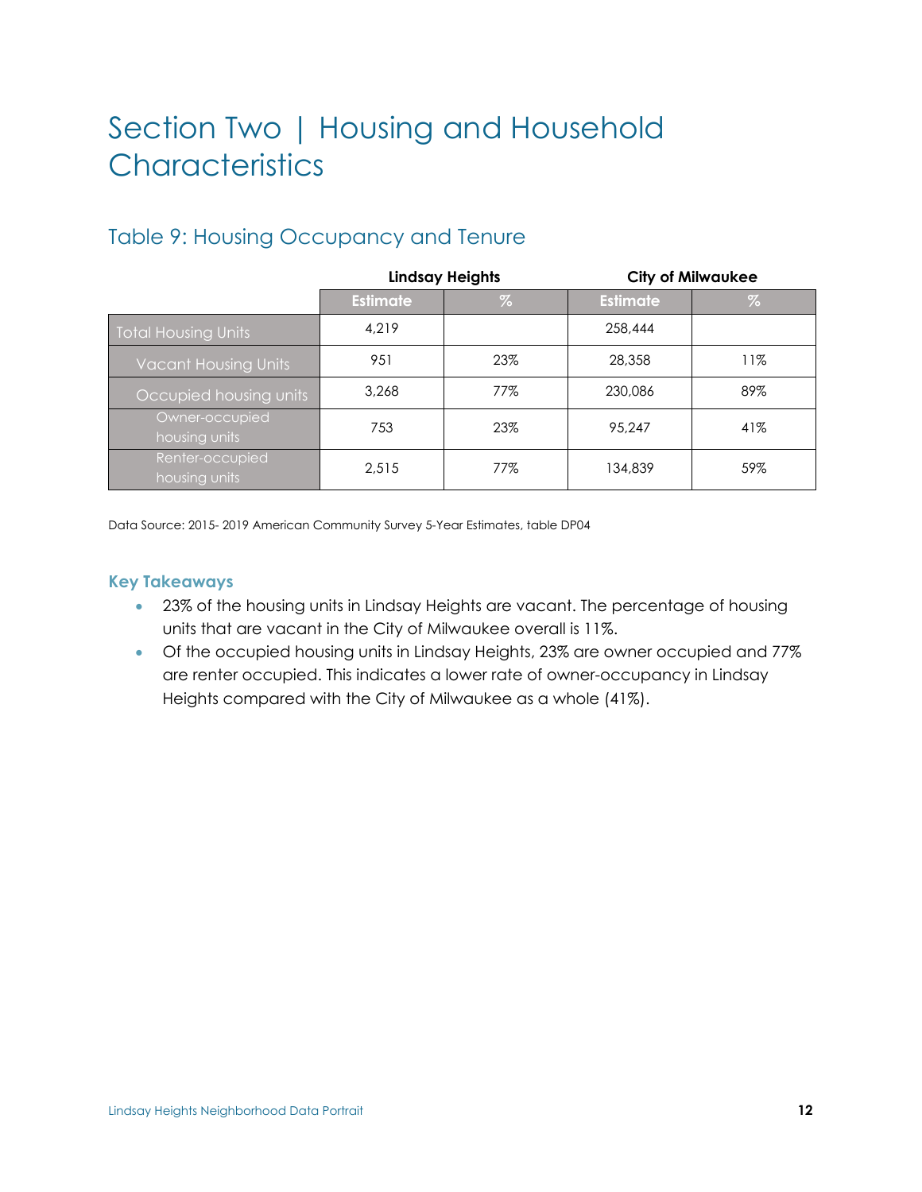# <span id="page-12-0"></span>Section Two | Housing and Household **Characteristics**

|                                  |                 | <b>Lindsay Heights</b> | <b>City of Milwaukee</b> |      |  |
|----------------------------------|-----------------|------------------------|--------------------------|------|--|
|                                  | <b>Estimate</b> | $\%$                   | <b>Estimate</b>          | $\%$ |  |
| <b>Total Housing Units</b>       | 4.219           |                        | 258.444                  |      |  |
| <b>Vacant Housing Units</b>      | 951             | 23%                    | 28,358                   | 11%  |  |
| Occupied housing units           | 3.268           | 77%                    | 230,086                  | 89%  |  |
| Owner-occupied<br>housing units  | 753             | 23%                    | 95.247                   | 41%  |  |
| Renter-occupied<br>housing units | 2.515           | 77%                    | 134,839                  | 59%  |  |

## <span id="page-12-1"></span>Table 9: Housing Occupancy and Tenure

Data Source: 2015- 2019 American Community Survey 5-Year Estimates, table DP04

- 23% of the housing units in Lindsay Heights are vacant. The percentage of housing units that are vacant in the City of Milwaukee overall is 11%.
- Of the occupied housing units in Lindsay Heights, 23% are owner occupied and 77% are renter occupied. This indicates a lower rate of owner-occupancy in Lindsay Heights compared with the City of Milwaukee as a whole (41%).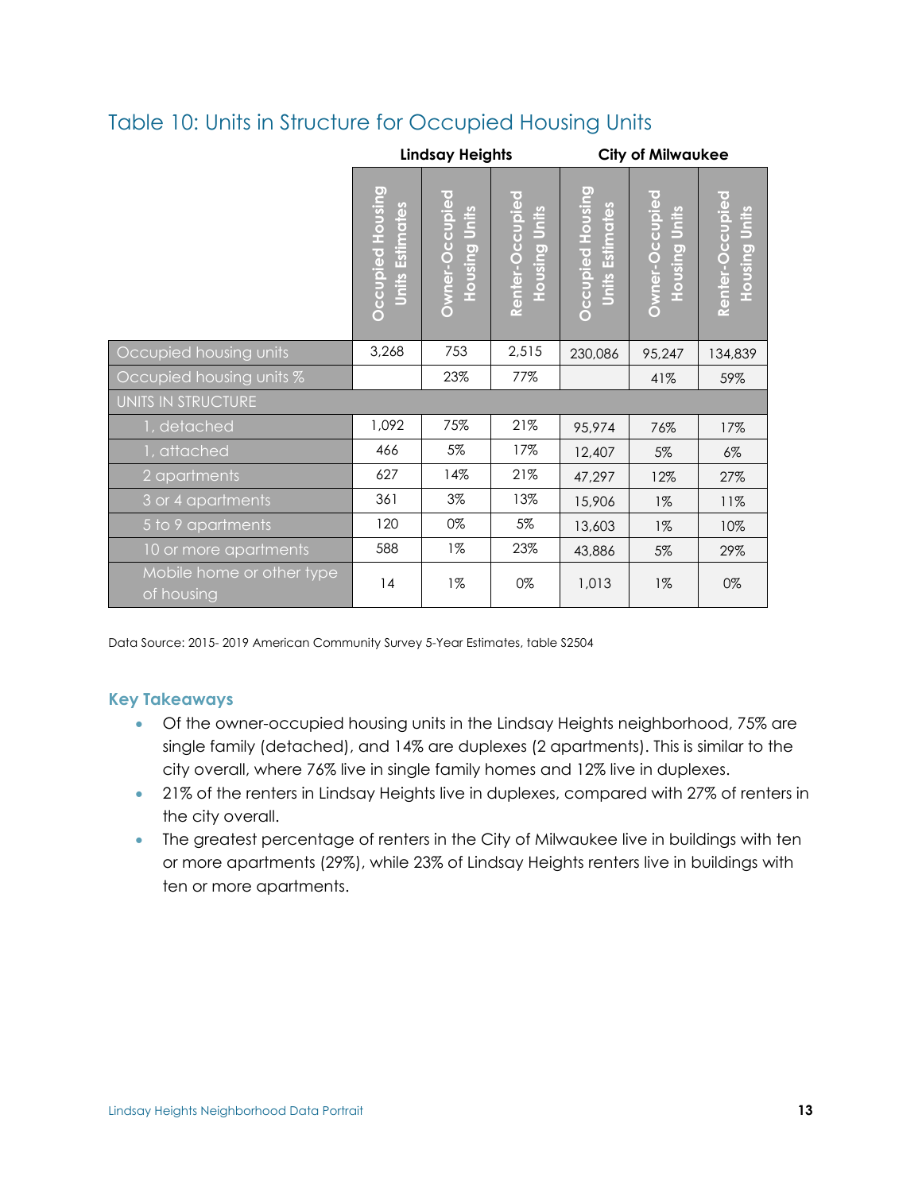## <span id="page-13-0"></span>Table 10: Units in Structure for Occupied Housing Units

|                                         | <b>Lindsay Heights</b>                     |                                 |                                  | <b>City of Milwaukee</b>                          |                                    |                                  |
|-----------------------------------------|--------------------------------------------|---------------------------------|----------------------------------|---------------------------------------------------|------------------------------------|----------------------------------|
|                                         | Occupied Housing<br><b>Units Estimates</b> | Owner-Occupied<br>Housing Units | Renter-Occupied<br>Housing Units | <b>Occupied Housing</b><br><b>Jnits Estimates</b> | Owner-Occupied<br>Units<br>Housing | Renter-Occupied<br>Housing Units |
| Occupied housing units                  | 3,268                                      | 753                             | 2,515                            | 230,086                                           | 95,247                             | 134,839                          |
| Occupied housing units %                |                                            | 23%                             | 77%                              |                                                   | 41%                                | 59%                              |
| UNITS IN STRUCTURE                      |                                            |                                 |                                  |                                                   |                                    |                                  |
| 1, detached                             | 1,092                                      | 75%                             | 21%                              | 95,974                                            | 76%                                | 17%                              |
| 1, attached                             | 466                                        | 5%                              | 17%                              | 12,407                                            | 5%                                 | $6\%$                            |
| 2 apartments                            | 627                                        | 14%                             | 21%                              | 47,297                                            | 12%                                | 27%                              |
| 3 or 4 apartments                       | 361                                        | 3%                              | 13%                              | 15,906                                            | $1\%$                              | 11%                              |
| 5 to 9 apartments                       | 120                                        | 0%                              | $5\%$                            | 13,603                                            | $1\%$                              | 10%                              |
| 10 or more apartments                   | 588                                        | $1\%$                           | 23%                              | 43,886                                            | 5%                                 | 29%                              |
| Mobile home or other type<br>of housing | 4                                          | $1\%$                           | 0%                               | 1,013                                             | $1\%$                              | 0%                               |

Data Source: 2015- 2019 American Community Survey 5-Year Estimates, table S2504

- Of the owner-occupied housing units in the Lindsay Heights neighborhood, 75% are single family (detached), and 14% are duplexes (2 apartments). This is similar to the city overall, where 76% live in single family homes and 12% live in duplexes.
- 21% of the renters in Lindsay Heights live in duplexes, compared with 27% of renters in the city overall.
- The greatest percentage of renters in the City of Milwaukee live in buildings with ten or more apartments (29%), while 23% of Lindsay Heights renters live in buildings with ten or more apartments.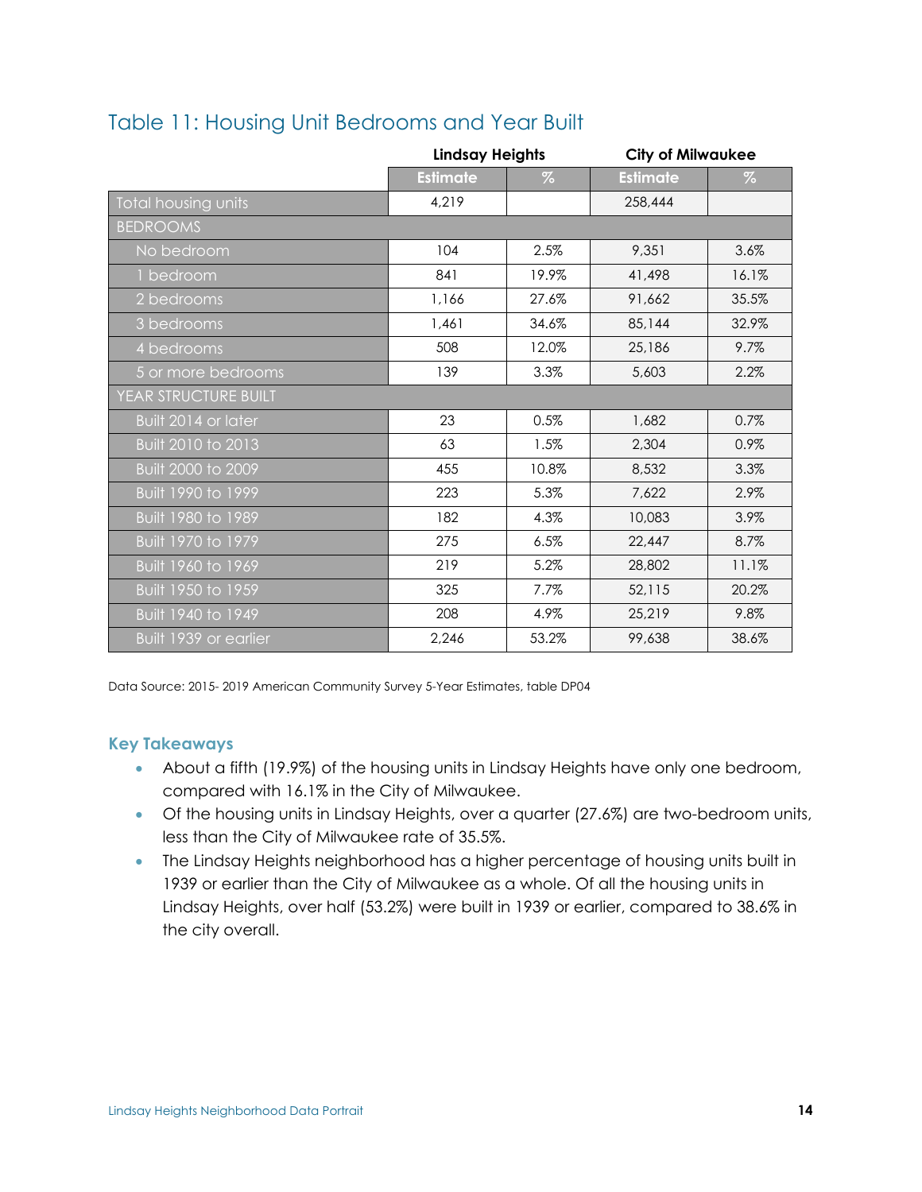|                       |                 | <b>Lindsay Heights</b> |                 | <b>City of Milwaukee</b> |
|-----------------------|-----------------|------------------------|-----------------|--------------------------|
|                       | <b>Estimate</b> | $\%$                   | <b>Estimate</b> | $\%$                     |
| Total housing units   | 4,219           |                        | 258,444         |                          |
| <b>BEDROOMS</b>       |                 |                        |                 |                          |
| No bedroom            | 104             | 2.5%                   | 9,351           | 3.6%                     |
| 1 bedroom             | 841             | 19.9%                  | 41,498          | 16.1%                    |
| 2 bedrooms            | 1,166           | 27.6%                  | 91,662          | 35.5%                    |
| 3 bedrooms            | 1,461           | 34.6%                  | 85,144          | 32.9%                    |
| 4 bedrooms            | 508             | 12.0%                  | 25,186          | 9.7%                     |
| 5 or more bedrooms    | 139             | 3.3%                   | 5,603           | 2.2%                     |
| YEAR STRUCTURE BUILT  |                 |                        |                 |                          |
| Built 2014 or later   | 23              | 0.5%                   | 1,682           | 0.7%                     |
| Built 2010 to 2013    | 63              | 1.5%                   | 2,304           | 0.9%                     |
| Built 2000 to 2009    | 455             | 10.8%                  | 8,532           | 3.3%                     |
| Built 1990 to 1999    | 223             | 5.3%                   | 7,622           | 2.9%                     |
| Built 1980 to 1989    | 182             | 4.3%                   | 10,083          | 3.9%                     |
| Built 1970 to 1979    | 275             | 6.5%                   | 22,447          | 8.7%                     |
| Built 1960 to 1969    | 219             | 5.2%                   | 28,802          | 11.1%                    |
| Built 1950 to 1959    | 325             | 7.7%                   | 52,115          | 20.2%                    |
| Built 1940 to 1949    | 208             | 4.9%                   | 25,219          | 9.8%                     |
| Built 1939 or earlier | 2,246           | 53.2%                  | 99,638          | 38.6%                    |

## <span id="page-14-0"></span>Table 11: Housing Unit Bedrooms and Year Built

Data Source: 2015- 2019 American Community Survey 5-Year Estimates, table DP04

- About a fifth (19.9%) of the housing units in Lindsay Heights have only one bedroom, compared with 16.1% in the City of Milwaukee.
- Of the housing units in Lindsay Heights, over a quarter (27.6%) are two-bedroom units, less than the City of Milwaukee rate of 35.5%.
- The Lindsay Heights neighborhood has a higher percentage of housing units built in 1939 or earlier than the City of Milwaukee as a whole. Of all the housing units in Lindsay Heights, over half (53.2%) were built in 1939 or earlier, compared to 38.6% in the city overall.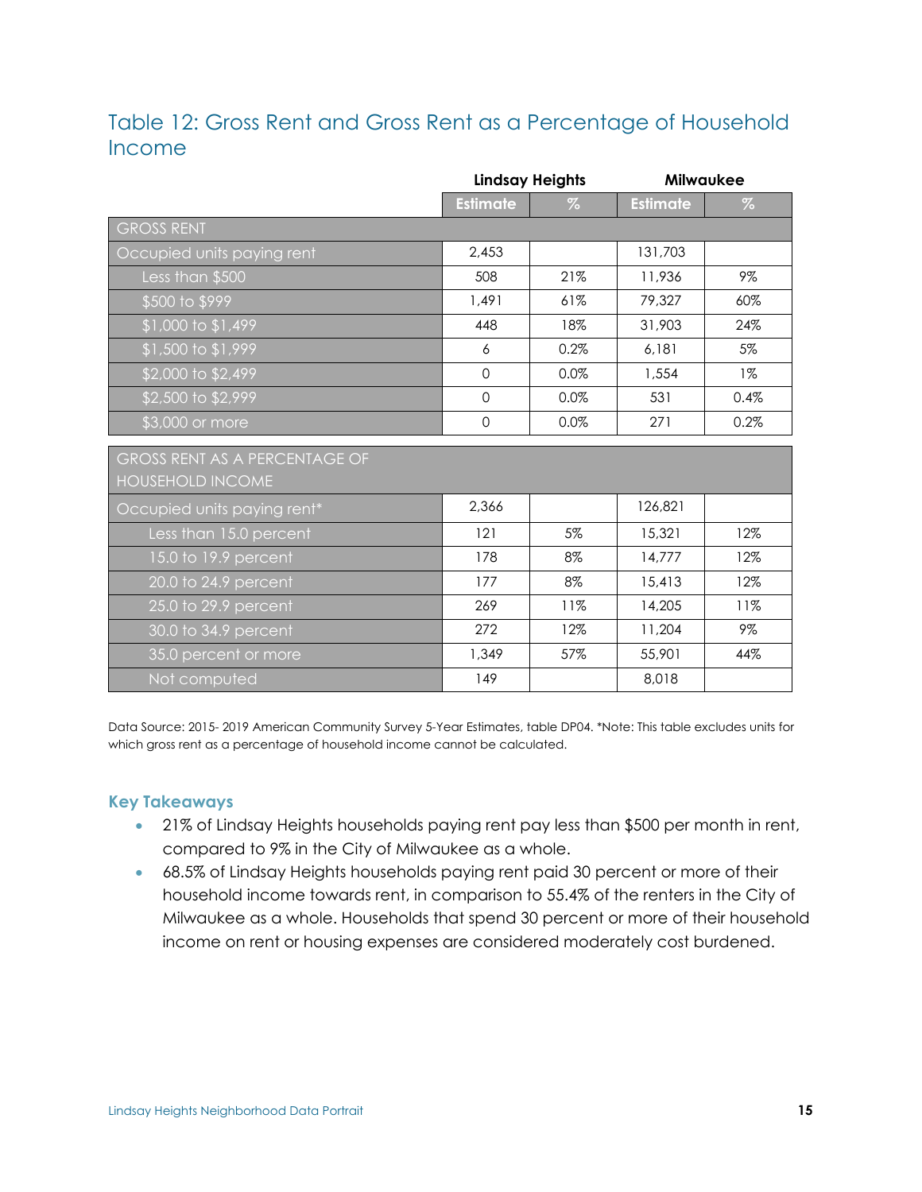## <span id="page-15-0"></span>Table 12: Gross Rent and Gross Rent as a Percentage of Household Income

|                               | <b>Lindsay Heights</b> |      | <b>Milwaukee</b> |       |
|-------------------------------|------------------------|------|------------------|-------|
|                               | <b>Estimate</b>        | $\%$ | <b>Estimate</b>  | $\%$  |
| <b>GROSS RENT</b>             |                        |      |                  |       |
| Occupied units paying rent    | 2,453                  |      | 131,703          |       |
| Less than \$500               | 508                    | 21%  | 11,936           | 9%    |
| \$500 to \$999                | 1,491                  | 61%  | 79,327           | 60%   |
| $$1,000$ to $$1,499$          | 448                    | 18%  | 31,903           | 24%   |
| \$1,500 to \$1,999            | 6                      | 0.2% | 6,181            | 5%    |
| \$2,000 to \$2,499            | $\mathbf 0$            | 0.0% | 1,554            | $1\%$ |
| \$2,500 to \$2,999            | $\mathbf 0$            | 0.0% | 531              | 0.4%  |
| \$3,000 or more               | $\mathbf 0$            | 0.0% | 271              | 0.2%  |
| GROSS RENT AS A PERCENTAGE OF |                        |      |                  |       |
| <b>HOUSEHOLD INCOME</b>       |                        |      |                  |       |
| Occupied units paying rent*   | 2,366                  |      | 126,821          |       |
| Less than 15.0 percent        | 121                    | 5%   | 15,321           | 12%   |
| 15.0 to 19.9 percent          | 178                    | 8%   | 14,777           | 12%   |
| 20.0 to 24.9 percent          | 177                    | 8%   | 15,413           | 12%   |
| 25.0 to 29.9 percent          | 269                    | 11%  | 14,205           | 11%   |
| 30.0 to 34.9 percent          | 272                    | 12%  | 11,204           | 9%    |
| 35.0 percent or more          | 1,349                  | 57%  | 55,901           | 44%   |
| Not computed                  | 149                    |      | 8,018            |       |

Data Source: 2015- 2019 American Community Survey 5-Year Estimates, table DP04. \*Note: This table excludes units for which gross rent as a percentage of household income cannot be calculated.

- 21% of Lindsay Heights households paying rent pay less than \$500 per month in rent, compared to 9% in the City of Milwaukee as a whole.
- 68.5% of Lindsay Heights households paying rent paid 30 percent or more of their household income towards rent, in comparison to 55.4% of the renters in the City of Milwaukee as a whole. Households that spend 30 percent or more of their household income on rent or housing expenses are considered moderately cost burdened.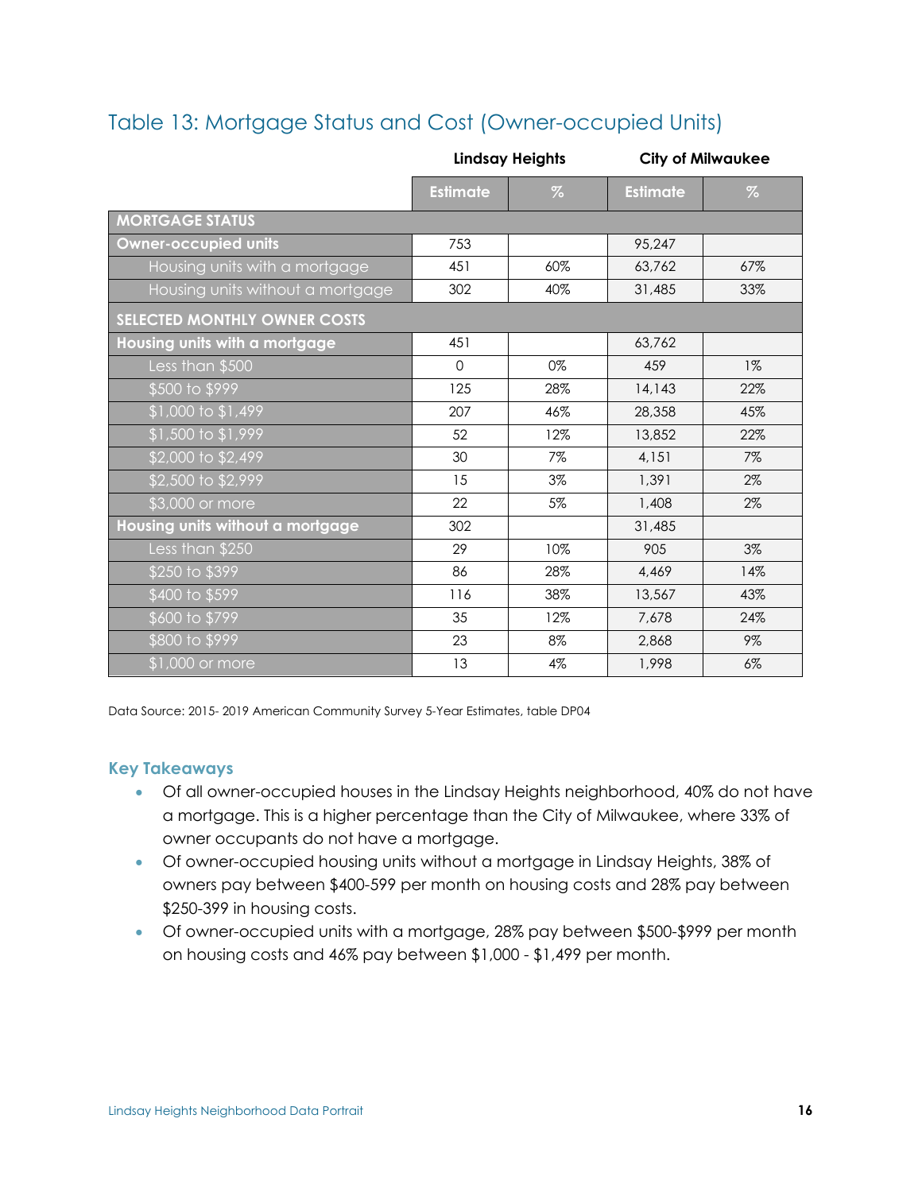## <span id="page-16-0"></span>Table 13: Mortgage Status and Cost (Owner-occupied Units)

|                                     | <b>Lindsay Heights</b> |      | <b>City of Milwaukee</b> |       |
|-------------------------------------|------------------------|------|--------------------------|-------|
|                                     | <b>Estimate</b>        | $\%$ | <b>Estimate</b>          | $\%$  |
| <b>MORTGAGE STATUS</b>              |                        |      |                          |       |
| <b>Owner-occupied units</b>         | 753                    |      | 95,247                   |       |
| Housing units with a mortgage       | 451                    | 60%  | 63,762                   | 67%   |
| Housing units without a mortgage    | 302                    | 40%  | 31,485                   | 33%   |
| <b>SELECTED MONTHLY OWNER COSTS</b> |                        |      |                          |       |
| Housing units with a mortgage       | 451                    |      | 63,762                   |       |
| Less than \$500                     | $\mathbf{O}$           | 0%   | 459                      | $1\%$ |
| \$500 to \$999                      | 125                    | 28%  | 14,143                   | 22%   |
| \$1,000 to \$1,499                  | 207                    | 46%  | 28,358                   | 45%   |
| \$1,500 to \$1,999                  | 52                     | 12%  | 13,852                   | 22%   |
| \$2,000 to \$2,499                  | 30                     | 7%   | 4,151                    | 7%    |
| \$2,500 to \$2,999                  | 15                     | 3%   | 1,391                    | 2%    |
| \$3,000 or more                     | 22                     | 5%   | 1,408                    | 2%    |
| Housing units without a mortgage    | 302                    |      | 31,485                   |       |
| Less than \$250                     | 29                     | 10%  | 905                      | 3%    |
| \$250 to \$399                      | 86                     | 28%  | 4,469                    | 14%   |
| \$400 to \$599                      | 116                    | 38%  | 13,567                   | 43%   |
| \$600 to \$799                      | 35                     | 12%  | 7,678                    | 24%   |
| \$800 to \$999                      | 23                     | 8%   | 2,868                    | 9%    |
| \$1,000 or more                     | 13                     | 4%   | 1,998                    | $6\%$ |

Data Source: 2015- 2019 American Community Survey 5-Year Estimates, table DP04

- Of all owner-occupied houses in the Lindsay Heights neighborhood, 40% do not have a mortgage. This is a higher percentage than the City of Milwaukee, where 33% of owner occupants do not have a mortgage.
- Of owner-occupied housing units without a mortgage in Lindsay Heights, 38% of owners pay between \$400-599 per month on housing costs and 28% pay between \$250-399 in housing costs.
- Of owner-occupied units with a mortgage, 28% pay between \$500-\$999 per month on housing costs and 46% pay between \$1,000 - \$1,499 per month.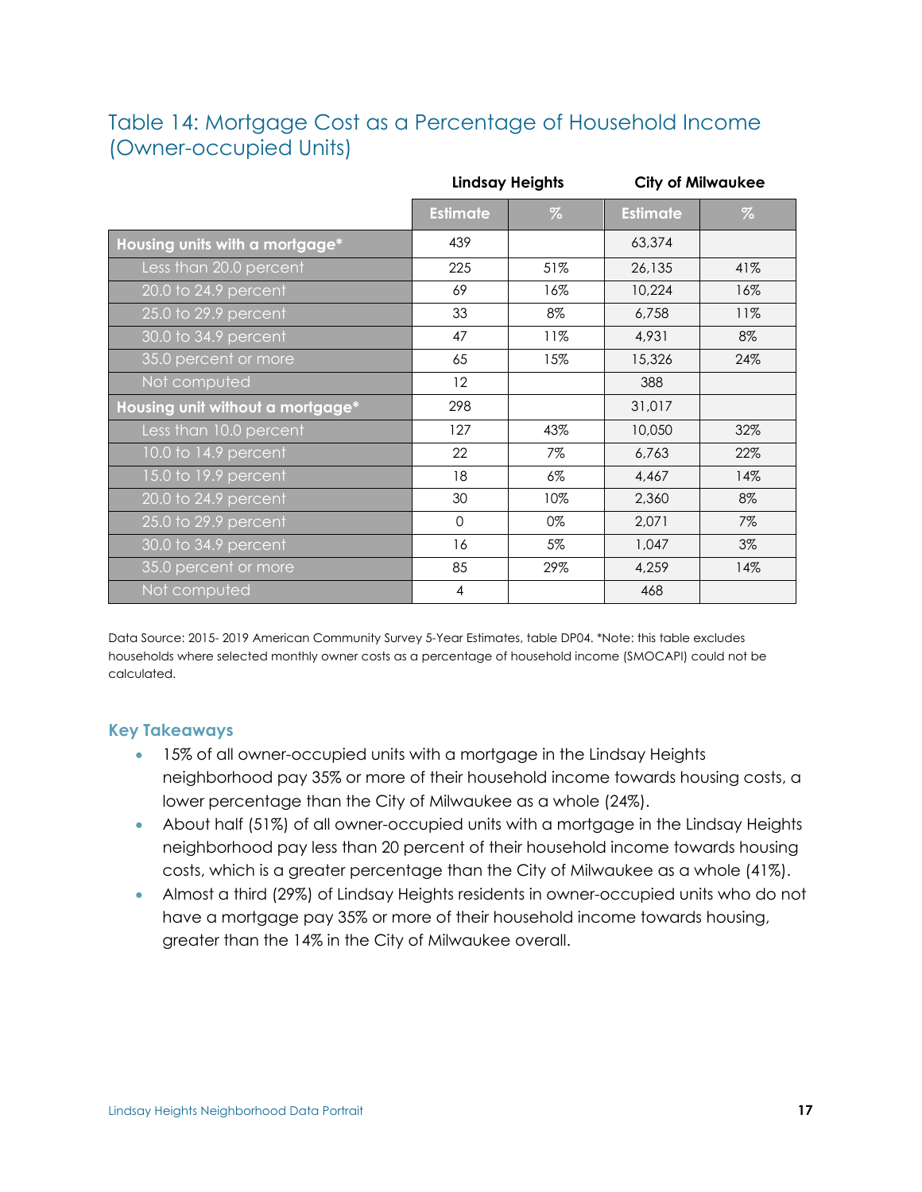## <span id="page-17-0"></span>Table 14: Mortgage Cost as a Percentage of Household Income (Owner-occupied Units)

|                                   | <b>Lindsay Heights</b> |      | <b>City of Milwaukee</b> |      |
|-----------------------------------|------------------------|------|--------------------------|------|
|                                   | <b>Estimate</b>        | $\%$ | <b>Estimate</b>          | $\%$ |
| Housing units with a mortgage*    | 439                    |      | 63,374                   |      |
| Less than 20.0 percent            | 225                    | 51%  | 26,135                   | 41%  |
| 20.0 to $24.\overline{9}$ percent | 69                     | 16%  | 10,224                   | 16%  |
| 25.0 to 29.9 percent              | 33                     | 8%   | 6,758                    | 11%  |
| 30.0 to 34.9 percent              | 47                     | 11%  | 4,931                    | 8%   |
| 35.0 percent or more              | 65                     | 15%  | 15,326                   | 24%  |
| Not computed                      | 12                     |      | 388                      |      |
| Housing unit without a mortgage*  | 298                    |      | 31,017                   |      |
| Less than 10.0 percent            | 127                    | 43%  | 10,050                   | 32%  |
| 10.0 to 14.9 percent              | 22                     | 7%   | 6,763                    | 22%  |
| 15.0 to 19.9 percent              | 18                     | 6%   | 4,467                    | 14%  |
| 20.0 to 24.9 percent              | 30                     | 10%  | 2,360                    | 8%   |
| 25.0 to 29.9 percent              | $\mathbf 0$            | 0%   | 2,071                    | 7%   |
| 30.0 to 34.9 percent              | 16                     | 5%   | 1,047                    | 3%   |
| 35.0 percent or more              | 85                     | 29%  | 4,259                    | 14%  |
| Not computed                      | $\overline{4}$         |      | 468                      |      |

Data Source: 2015- 2019 American Community Survey 5-Year Estimates, table DP04. \*Note: this table excludes households where selected monthly owner costs as a percentage of household income (SMOCAPI) could not be calculated.

- 15% of all owner-occupied units with a mortgage in the Lindsay Heights neighborhood pay 35% or more of their household income towards housing costs, a lower percentage than the City of Milwaukee as a whole (24%).
- About half (51%) of all owner-occupied units with a mortgage in the Lindsay Heights neighborhood pay less than 20 percent of their household income towards housing costs, which is a greater percentage than the City of Milwaukee as a whole (41%).
- Almost a third (29%) of Lindsay Heights residents in owner-occupied units who do not have a mortgage pay 35% or more of their household income towards housing, greater than the 14% in the City of Milwaukee overall.